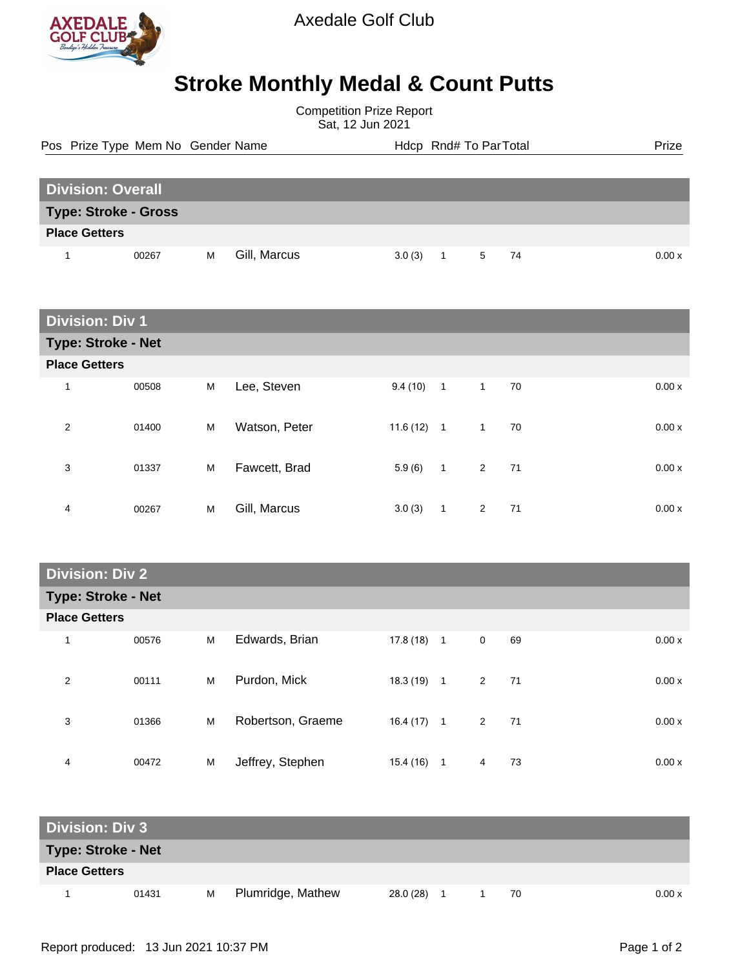

## **Stroke Monthly Medal & Count Putts**

Competition Prize Report Sat, 12 Jun 2021

Pos Prize Type Mem No Gender Name **Health Hotel And America** Hotel Hotel Prize Prize

| <b>Division: Overall</b>    |       |   |              |            |  |      |  |       |  |
|-----------------------------|-------|---|--------------|------------|--|------|--|-------|--|
| <b>Type: Stroke - Gross</b> |       |   |              |            |  |      |  |       |  |
| <b>Place Getters</b>        |       |   |              |            |  |      |  |       |  |
|                             | 00267 | м | Gill, Marcus | $3.0(3)$ 1 |  | 5 74 |  | 0.00x |  |

| <b>Division: Div 1</b>    |       |   |               |              |                |                |     |  |       |
|---------------------------|-------|---|---------------|--------------|----------------|----------------|-----|--|-------|
| <b>Type: Stroke - Net</b> |       |   |               |              |                |                |     |  |       |
| <b>Place Getters</b>      |       |   |               |              |                |                |     |  |       |
| 1                         | 00508 | M | Lee, Steven   | $9.4(10)$ 1  |                | $\mathbf{1}$   | 70  |  | 0.00x |
| 2                         | 01400 | M | Watson, Peter | $11.6(12)$ 1 |                | $\mathbf{1}$   | 70  |  | 0.00x |
| 3                         | 01337 | M | Fawcett, Brad | 5.9(6)       | $\overline{1}$ | $\overline{2}$ | -71 |  | 0.00x |
| 4                         | 00267 | M | Gill, Marcus  | 3.0(3)       | $\mathbf{1}$   | $\overline{2}$ | 71  |  | 0.00x |

## **Division: Div 2**

| <b>Type: Stroke - Net</b> |       |   |                   |              |                |              |     |  |        |
|---------------------------|-------|---|-------------------|--------------|----------------|--------------|-----|--|--------|
| <b>Place Getters</b>      |       |   |                   |              |                |              |     |  |        |
| 1                         | 00576 | M | Edwards, Brian    | 17.8 (18)    | $\overline{1}$ | $\mathbf 0$  | 69  |  | 0.00x  |
| 2                         | 00111 | M | Purdon, Mick      | 18.3 (19)    | $\overline{1}$ | $\mathbf{2}$ | -71 |  | 0.00 x |
| 3                         | 01366 | M | Robertson, Graeme | $16.4(17)$ 1 |                | 2            | 71  |  | 0.00 x |
| 4                         | 00472 | M | Jeffrey, Stephen  | 15.4(16)     | 1              | 4            | 73  |  | 0.00x  |

| <b>Division: Div 3</b>    |       |   |                   |           |  |  |    |       |
|---------------------------|-------|---|-------------------|-----------|--|--|----|-------|
| <b>Type: Stroke - Net</b> |       |   |                   |           |  |  |    |       |
| <b>Place Getters</b>      |       |   |                   |           |  |  |    |       |
|                           | 01431 | м | Plumridge, Mathew | 28.0 (28) |  |  | 70 | 0.00x |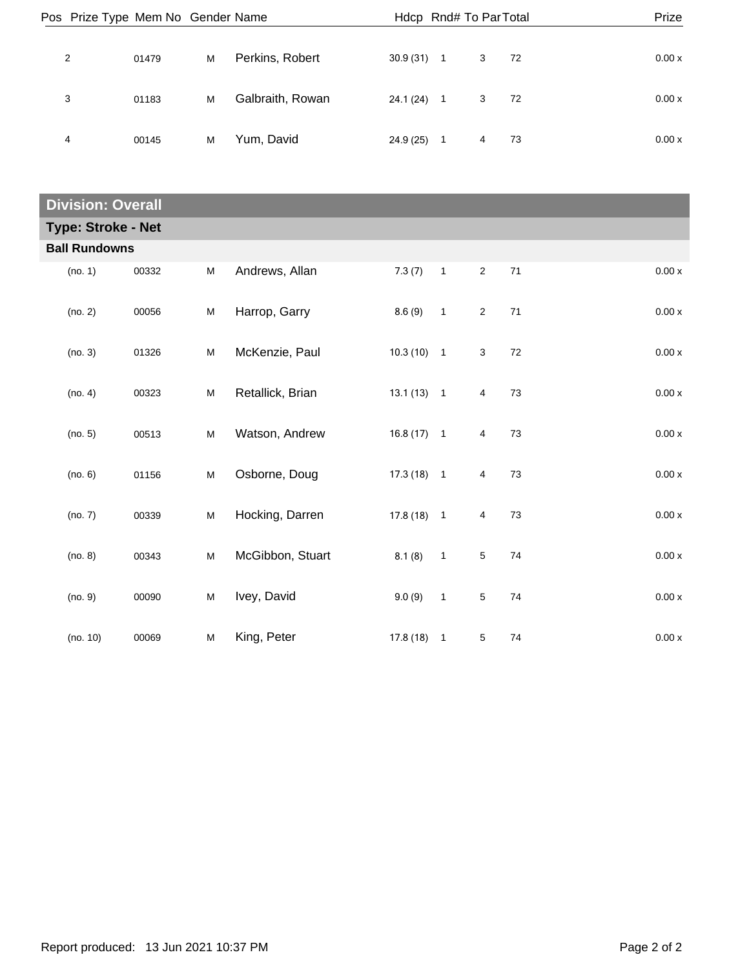| Pos Prize Type Mem No Gender Name |       |   |                  | Hdcp Rnd# To Par Total |                          |   |      | Prize  |
|-----------------------------------|-------|---|------------------|------------------------|--------------------------|---|------|--------|
| 2                                 | 01479 | м | Perkins, Robert  | 30.9(31)               | $\overline{1}$           | 3 | - 72 | 0.00 x |
| 3                                 | 01183 | M | Galbraith, Rowan | 24.1 (24)              | $\overline{\phantom{1}}$ | 3 | - 72 | 0.00x  |
| 4                                 | 00145 | м | Yum, David       | 24.9(25)               | $\overline{1}$           | 4 | 73   | 0.00 x |

| <b>Division: Overall</b>  |       |   |                  |              |                            |                |    |                    |  |
|---------------------------|-------|---|------------------|--------------|----------------------------|----------------|----|--------------------|--|
| <b>Type: Stroke - Net</b> |       |   |                  |              |                            |                |    |                    |  |
| <b>Ball Rundowns</b>      |       |   |                  |              |                            |                |    |                    |  |
| (no. 1)                   | 00332 | M | Andrews, Allan   | 7.3(7)       | $\mathbf{1}$               | $\overline{2}$ | 71 | $0.00\,\mathrm{x}$ |  |
| (no. 2)                   | 00056 | M | Harrop, Garry    | 8.6(9)       | $\mathbf{1}$               | $\overline{2}$ | 71 | 0.00x              |  |
| (no. 3)                   | 01326 | M | McKenzie, Paul   | $10.3(10)$ 1 |                            | 3              | 72 | 0.00 x             |  |
| (no. 4)                   | 00323 | M | Retallick, Brian | $13.1(13)$ 1 |                            | 4              | 73 | 0.00x              |  |
| (no. 5)                   | 00513 | M | Watson, Andrew   | $16.8(17)$ 1 |                            | 4              | 73 | 0.00 x             |  |
| (no. 6)                   | 01156 | M | Osborne, Doug    | $17.3(18)$ 1 |                            | 4              | 73 | 0.00 x             |  |
| (no. 7)                   | 00339 | M | Hocking, Darren  | $17.8(18)$ 1 |                            | 4              | 73 | 0.00x              |  |
| (no. 8)                   | 00343 | M | McGibbon, Stuart | 8.1(8)       | $\overline{\phantom{0}}$ 1 | $\sqrt{5}$     | 74 | 0.00 x             |  |
| (no. 9)                   | 00090 | M | Ivey, David      | 9.0(9)       | $\mathbf{1}$               | $\,$ 5 $\,$    | 74 | 0.00 x             |  |
| (no. 10)                  | 00069 | M | King, Peter      | $17.8(18)$ 1 |                            | $\sqrt{5}$     | 74 | 0.00x              |  |